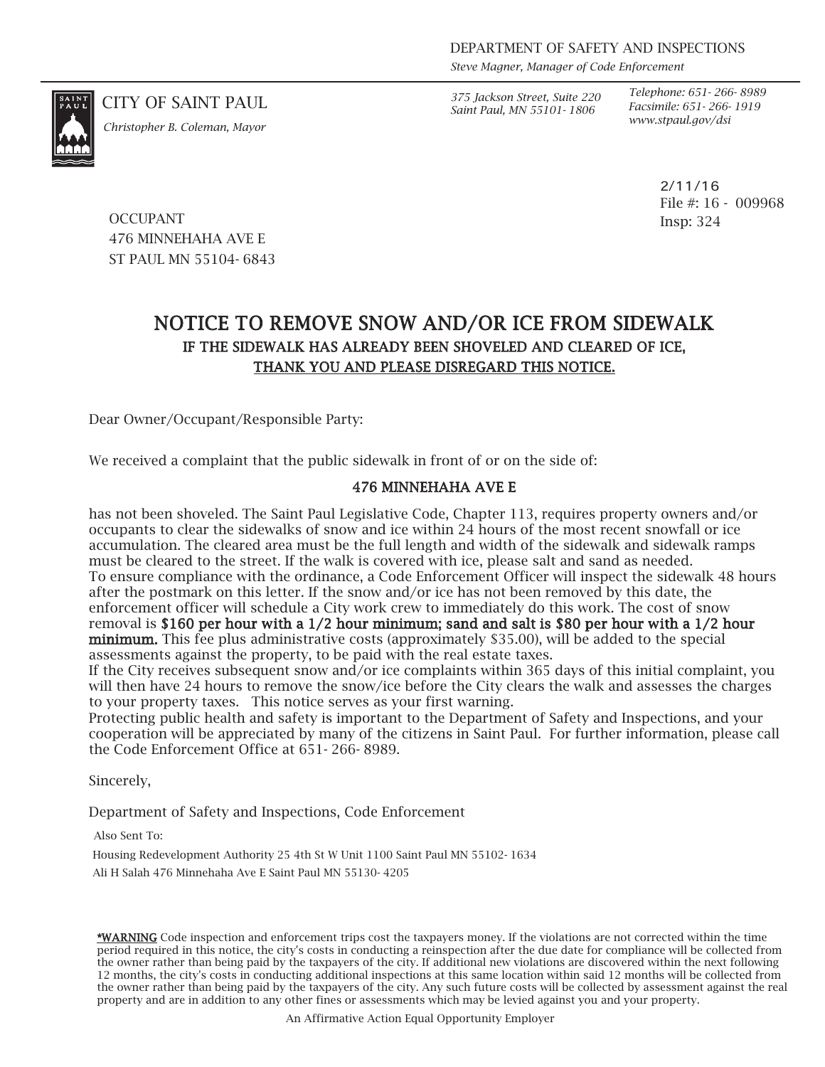*Steve Magner, Manager of Code Enforcement*

*www.stpaul.gov/dsi Christopher B. Coleman, Mayor*

CITY OF SAINT PAUL *375 Jackson Street, Suite 220 Saint Paul, MN 55101- 1806*

*Telephone: 651- 266- 8989 Facsimile: 651- 266- 1919*

> 2/11/16 File #: 16 - 009968 Insp: 324

**OCCUPANT** 476 MINNEHAHA AVE E ST PAUL MN 55104- 6843

## NOTICE TO REMOVE SNOW AND/OR ICE FROM SIDEWALK IF THE SIDEWALK HAS ALREADY BEEN SHOVELED AND CLEARED OF ICE, THANK YOU AND PLEASE DISREGARD THIS NOTICE.

Dear Owner/Occupant/Responsible Party:

We received a complaint that the public sidewalk in front of or on the side of:

## 476 MINNEHAHA AVE E

has not been shoveled. The Saint Paul Legislative Code, Chapter 113, requires property owners and/or occupants to clear the sidewalks of snow and ice within 24 hours of the most recent snowfall or ice accumulation. The cleared area must be the full length and width of the sidewalk and sidewalk ramps must be cleared to the street. If the walk is covered with ice, please salt and sand as needed. To ensure compliance with the ordinance, a Code Enforcement Officer will inspect the sidewalk 48 hours after the postmark on this letter. If the snow and/or ice has not been removed by this date, the enforcement officer will schedule a City work crew to immediately do this work. The cost of snow removal is \$160 per hour with a 1/2 hour minimum; sand and salt is \$80 per hour with a 1/2 hour minimum. This fee plus administrative costs (approximately \$35.00), will be added to the special assessments against the property, to be paid with the real estate taxes.

If the City receives subsequent snow and/or ice complaints within 365 days of this initial complaint, you will then have 24 hours to remove the snow/ice before the City clears the walk and assesses the charges to your property taxes. This notice serves as your first warning.

Protecting public health and safety is important to the Department of Safety and Inspections, and your cooperation will be appreciated by many of the citizens in Saint Paul. For further information, please call the Code Enforcement Office at 651- 266- 8989.

Sincerely,

Department of Safety and Inspections, Code Enforcement

Also Sent To:

Housing Redevelopment Authority 25 4th St W Unit 1100 Saint Paul MN 55102- 1634

Ali H Salah 476 Minnehaha Ave E Saint Paul MN 55130- 4205

\*WARNING Code inspection and enforcement trips cost the taxpayers money. If the violations are not corrected within the time period required in this notice, the city's costs in conducting a reinspection after the due date for compliance will be collected from the owner rather than being paid by the taxpayers of the city. If additional new violations are discovered within the next following 12 months, the city's costs in conducting additional inspections at this same location within said 12 months will be collected from the owner rather than being paid by the taxpayers of the city. Any such future costs will be collected by assessment against the real property and are in addition to any other fines or assessments which may be levied against you and your property.

An Affirmative Action Equal Opportunity Employer